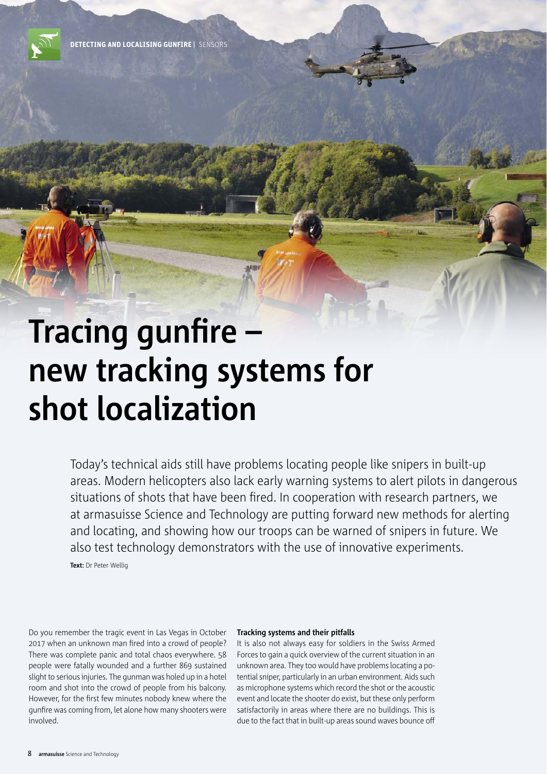# **Tracing gunfire – new tracking systems for shot localization**

Today's technical aids still have problems locating people like snipers in built-up areas. Modern helicopters also lack early warning systems to alert pilots in dangerous situations of shots that have been fired. In cooperation with research partners, we at armasuisse Science and Technology are putting forward new methods for alerting and locating, and showing how our troops can be warned of snipers in future. We also test technology demonstrators with the use of innovative experiments.

**Text:** Dr Peter Wellig

Do you remember the tragic event in Las Vegas in October 2017 when an unknown man fired into a crowd of people? There was complete panic and total chaos everywhere. 58 people were fatally wounded and a further 869 sustained slight to serious injuries. The gunman was holed up in a hotel room and shot into the crowd of people from his balcony. However, for the first few minutes nobody knew where the gunfire was coming from, let alone how many shooters were involved.

## **Tracking systems and their pitfalls**

It is also not always easy for soldiers in the Swiss Armed Forces to gain a quick overview of the current situation in an unknown area. They too would have problems locating a potential sniper, particularly in an urban environment. Aids such as microphone systems which record the shot or the acoustic event and locate the shooter do exist, but these only perform satisfactorily in areas where there are no buildings. This is due to the fact that in built-up areas sound waves bounce off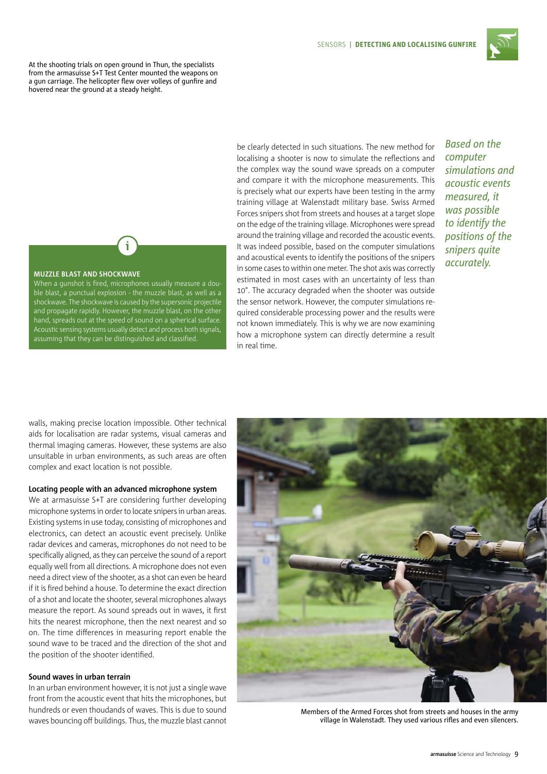

At the shooting trials on open ground in Thun, the specialists from the armasuisse S+T Test Center mounted the weapons on a gun carriage. The helicopter flew over volleys of gunfire and hovered near the ground at a steady height.

# **MUZZLE BLAST AND SHOCKWAVE**

When a gunshot is fired, microphones usually measure a double blast, a punctual explosion - the muzzle blast, as well as a shockwave. The shockwave is caused by the supersonic projectile and propagate rapidly. However, the muzzle blast, on the other hand, spreads out at the speed of sound on a spherical surface. Acoustic sensing systems usually detect and process both signals, assuming that they can be distinguished and classified.

i

be clearly detected in such situations. The new method for localising a shooter is now to simulate the reflections and the complex way the sound wave spreads on a computer and compare it with the microphone measurements. This is precisely what our experts have been testing in the army training village at Walenstadt military base. Swiss Armed Forces snipers shot from streets and houses at a target slope on the edge of the training village. Microphones were spread around the training village and recorded the acoustic events. It was indeed possible, based on the computer simulations and acoustical events to identify the positions of the snipers in some cases to within one meter. The shot axis was correctly estimated in most cases with an uncertainty of less than 10°. The accuracy degraded when the shooter was outside the sensor network. However, the computer simulations required considerable processing power and the results were not known immediately. This is why we are now examining how a microphone system can directly determine a result in real time.

*Based on the computer simulations and acoustic events measured, it was possible to identify the positions of the snipers quite accurately.*

walls, making precise location impossible. Other technical aids for localisation are radar systems, visual cameras and thermal imaging cameras. However, these systems are also unsuitable in urban environments, as such areas are often complex and exact location is not possible.

#### **Locating people with an advanced microphone system**

We at armasuisse S+T are considering further developing microphone systems in order to locate snipers in urban areas. Existing systems in use today, consisting of microphones and electronics, can detect an acoustic event precisely. Unlike radar devices and cameras, microphones do not need to be specifically aligned, as they can perceive the sound of a report equally well from all directions. A microphone does not even need a direct view of the shooter, as a shot can even be heard if it is fired behind a house. To determine the exact direction of a shot and locate the shooter, several microphones always measure the report. As sound spreads out in waves, it first hits the nearest microphone, then the next nearest and so on. The time differences in measuring report enable the sound wave to be traced and the direction of the shot and the position of the shooter identified.

## **Sound waves in urban terrain**

In an urban environment however, it is not just a single wave front from the acoustic event that hits the microphones, but hundreds or even thoudands of waves. This is due to sound waves bouncing off buildings. Thus, the muzzle blast cannot



Members of the Armed Forces shot from streets and houses in the army village in Walenstadt. They used various rifles and even silencers.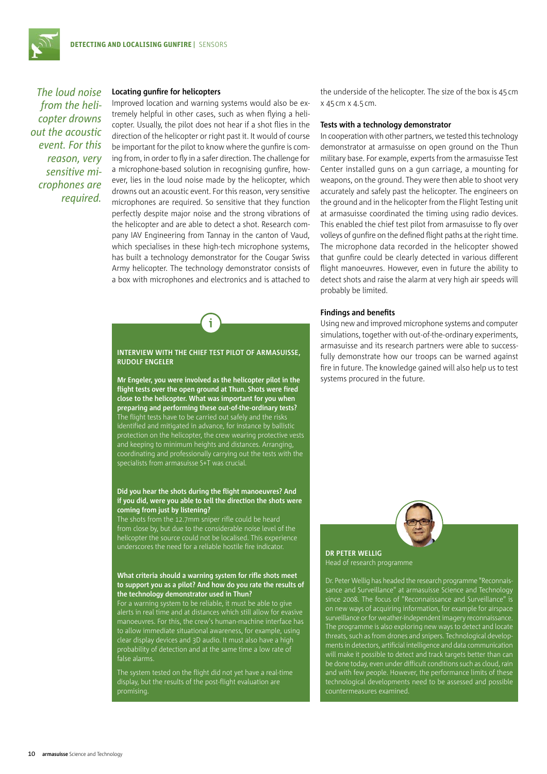*The loud noise from the helicopter drowns out the acoustic event. For this reason, very sensitive microphones are required.*

## **Locating gunfire for helicopters**

Improved location and warning systems would also be extremely helpful in other cases, such as when flying a helicopter. Usually, the pilot does not hear if a shot flies in the direction of the helicopter or right past it. It would of course be important for the pilot to know where the gunfire is coming from, in order to fly in a safer direction. The challenge for a microphone-based solution in recognising gunfire, however, lies in the loud noise made by the helicopter, which drowns out an acoustic event. For this reason, very sensitive microphones are required. So sensitive that they function perfectly despite major noise and the strong vibrations of the helicopter and are able to detect a shot. Research company IAV Engineering from Tannay in the canton of Vaud, which specialises in these high-tech microphone systems, has built a technology demonstrator for the Cougar Swiss Army helicopter. The technology demonstrator consists of a box with microphones and electronics and is attached to

# **INTERVIEW WITH THE CHIEF TEST PILOT OF ARMASUISSE, RUDOLF ENGELER**

**Mr Engeler, you were involved as the helicopter pilot in the flight tests over the open ground at Thun. Shots were fired close to the helicopter. What was important for you when preparing and performing these out-of-the-ordinary tests?** The flight tests have to be carried out safely and the risks identified and mitigated in advance, for instance by ballistic protection on the helicopter, the crew wearing protective vests and keeping to minimum heights and distances. Arranging, coordinating and professionally carrying out the tests with the specialists from armasuisse S+T was crucial.

#### **Did you hear the shots during the flight manoeuvres? And if you did, were you able to tell the direction the shots were coming from just by listening?**

The shots from the 12.7mm sniper rifle could be heard from close by, but due to the considerable noise level of the helicopter the source could not be localised. This experience underscores the need for a reliable hostile fire indicator.

## **What criteria should a warning system for rifle shots meet to support you as a pilot? And how do you rate the results of the technology demonstrator used in Thun?**

For a warning system to be reliable, it must be able to give alerts in real time and at distances which still allow for evasive manoeuvres. For this, the crew's human-machine interface has to allow immediate situational awareness, for example, using clear display devices and 3D audio. It must also have a high probability of detection and at the same time a low rate of false alarms.

The system tested on the flight did not yet have a real-time display, but the results of the post-flight evaluation are promising.

the underside of the helicopter. The size of the box is 45 cm x 45cm x 4.5 cm.

### **Tests with a technology demonstrator**

In cooperation with other partners, we tested this technology demonstrator at armasuisse on open ground on the Thun military base. For example, experts from the armasuisse Test Center installed guns on a gun carriage, a mounting for weapons, on the ground. They were then able to shoot very accurately and safely past the helicopter. The engineers on the ground and in the helicopter from the Flight Testing unit at armasuisse coordinated the timing using radio devices. This enabled the chief test pilot from armasuisse to fly over volleys of gunfire on the defined flight paths at the right time. The microphone data recorded in the helicopter showed that gunfire could be clearly detected in various different flight manoeuvres. However, even in future the ability to detect shots and raise the alarm at very high air speeds will probably be limited.

## **Findings and benefits**

Using new and improved microphone systems and computer simulations, together with out-of-the-ordinary experiments, armasuisse and its research partners were able to successfully demonstrate how our troops can be warned against fire in future. The knowledge gained will also help us to test systems procured in the future.



**DR PETER WELLIG** Head of research programme

Dr. Peter Wellig has headed the research programme "Reconnaissance and Surveillance" at armasuisse Science and Technology on new ways of acquiring information, for example for airspace surveillance or for weather-independent imagery reconnaissance. The programme is also exploring new ways to detect and locate threats, such as from drones and snipers. Technological developments in detectors, artificial intelligence and data communication will make it possible to detect and track targets better than can be done today, even under difficult conditions such as cloud, rain and with few people. However, the performance limits of these technological developments need to be assessed and possible countermeasures examined.